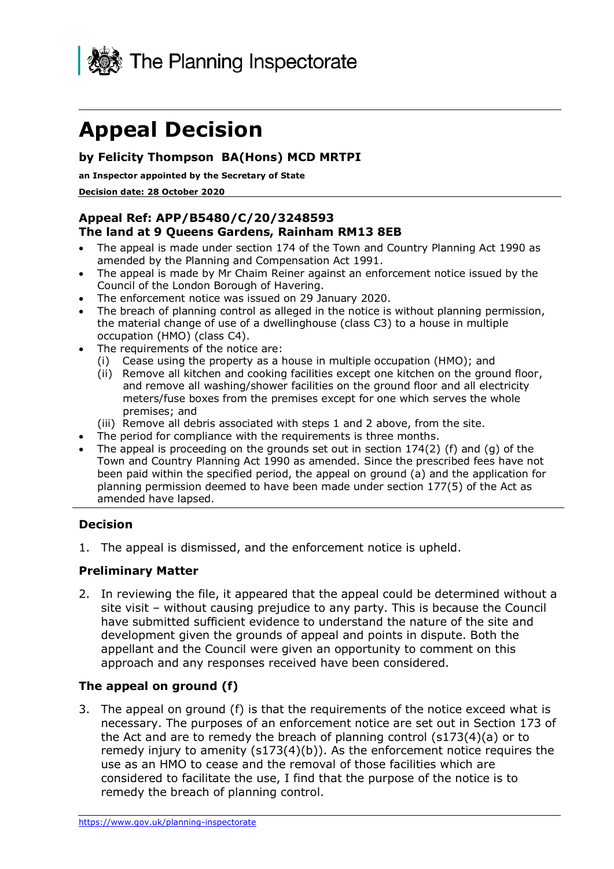

# **Appeal Decision**

### **by Felicity Thompson BA(Hons) MCD MRTPI**

**an Inspector appointed by the Secretary of State** 

 **Decision date: 28 October 2020** 

#### **Appeal Ref: APP/B5480/C/20/3248593 The land at 9 Queens Gardens, Rainham RM13 8EB**

- • The appeal is made under section 174 of the Town and Country Planning Act 1990 as amended by the Planning and Compensation Act 1991.
- • The appeal is made by Mr Chaim Reiner against an enforcement notice issued by the Council of the London Borough of Havering.
- The enforcement notice was issued on 29 January 2020.
- • The breach of planning control as alleged in the notice is without planning permission, the material change of use of a dwellinghouse (class C3) to a house in multiple occupation (HMO) (class C4).
- The requirements of the notice are:
	- (i) Cease using the property as a house in multiple occupation (HMO); and
	- (ii) Remove all kitchen and cooking facilities except one kitchen on the ground floor, and remove all washing/shower facilities on the ground floor and all electricity meters/fuse boxes from the premises except for one which serves the whole premises; and
	- (iii) Remove all debris associated with steps 1 and 2 above, from the site.
- The period for compliance with the requirements is three months.
- The appeal is proceeding on the grounds set out in section 174(2) (f) and (g) of the Town and Country Planning Act 1990 as amended. Since the prescribed fees have not been paid within the specified period, the appeal on ground (a) and the application for planning permission deemed to have been made under section 177(5) of the Act as amended have lapsed.

#### **Decision**

1. The appeal is dismissed, and the enforcement notice is upheld.

#### **Preliminary Matter**

 2. In reviewing the file, it appeared that the appeal could be determined without a site visit – without causing prejudice to any party. This is because the Council have submitted sufficient evidence to understand the nature of the site and appellant and the Council were given an opportunity to comment on this development given the grounds of appeal and points in dispute. Both the approach and any responses received have been considered.

#### **The appeal on ground (f)**

 3. The appeal on ground (f) is that the requirements of the notice exceed what is necessary. The purposes of an enforcement notice are set out in Section 173 of the Act and are to remedy the breach of planning control (s173(4)(a) or to remedy injury to amenity (s173(4)(b)). As the enforcement notice requires the use as an HMO to cease and the removal of those facilities which are considered to facilitate the use, I find that the purpose of the notice is to remedy the breach of planning control.